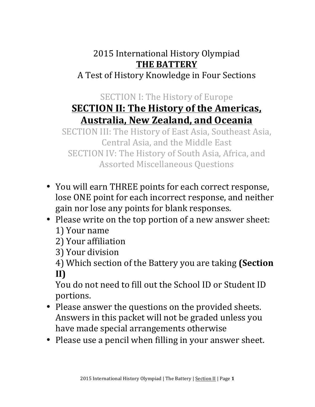## 2015 International History Olympiad **THE BATTERY** A Test of History Knowledge in Four Sections

## SECTION I: The History of Europe **SECTION II: The History of the Americas, Australia, New Zealand, and Oceania**

SECTION III: The History of East Asia, Southeast Asia, Central Asia, and the Middle East SECTION IV: The History of South Asia, Africa, and Assorted Miscellaneous Questions

- You will earn THREE points for each correct response, lose ONE point for each incorrect response, and neither gain nor lose any points for blank responses.
- Please write on the top portion of a new answer sheet: 1) Your name
	- 2) Your affiliation
	- 3) Your division
	- 4) Which section of the Battery you are taking (Section **II)**

You do not need to fill out the School ID or Student ID portions. 

- Please answer the questions on the provided sheets. Answers in this packet will not be graded unless you have made special arrangements otherwise
- Please use a pencil when filling in your answer sheet.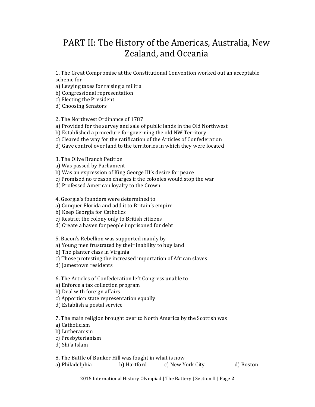## PART II: The History of the Americas, Australia, New Zealand, and Oceania

1. The Great Compromise at the Constitutional Convention worked out an acceptable scheme for

a) Levying taxes for raising a militia

b) Congressional representation

c) Electing the President

d) Choosing Senators

2. The Northwest Ordinance of 1787

a) Provided for the survey and sale of public lands in the Old Northwest

b) Established a procedure for governing the old NW Territory

c) Cleared the way for the ratification of the Articles of Confederation

d) Gave control over land to the territories in which they were located

3. The Olive Branch Petition

a) Was passed by Parliament

b) Was an expression of King George III's desire for peace

c) Promised no treason charges if the colonies would stop the war

d) Professed American loyalty to the Crown

4. Georgia's founders were determined to

a) Conquer Florida and add it to Britain's empire

b) Keep Georgia for Catholics

c) Restrict the colony only to British citizens

d) Create a haven for people imprisoned for debt

5. Bacon's Rebellion was supported mainly by

a) Young men frustrated by their inability to buy land

b) The planter class in Virginia

c) Those protesting the increased importation of African slaves

d) Jamestown residents

6. The Articles of Confederation left Congress unable to 

a) Enforce a tax collection program

b) Deal with foreign affairs

c) Apportion state representation equally

d) Establish a postal service

7. The main religion brought over to North America by the Scottish was

a) Catholicism

b) Lutheranism

c) Presbyterianism

d) Shi'a Islam

8. The Battle of Bunker Hill was fought in what is now

a) Philadelphia b) Hartford c) New York City d) Boston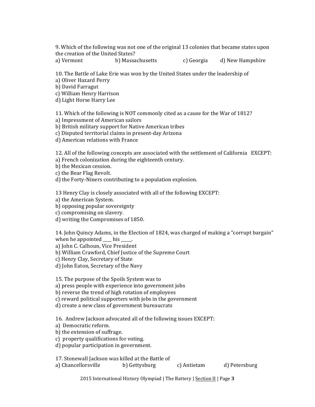9. Which of the following was not one of the original 13 colonies that became states upon the creation of the United States?

a) Vermont b) Massachusetts c) Georgia d) New Hampshire

10. The Battle of Lake Erie was won by the United States under the leadership of

a) Oliver Hazard Perry

b) David Farragut

c) William Henry Harrison

d) Light Horse Harry Lee

11. Which of the following is NOT commonly cited as a cause for the War of 1812?

a) Impressment of American sailors

b) British military support for Native American tribes

c) Disputed territorial claims in present-day Arizona

d) American relations with France

12. All of the following concepts are associated with the settlement of California EXCEPT:

a) French colonization during the eighteenth century.

b) the Mexican cession.

c) the Bear Flag Revolt.

d) the Forty-Niners contributing to a population explosion.

13 Henry Clay is closely associated with all of the following EXCEPT:

a) the American System.

b) opposing popular sovereignty

c) compromising on slavery.

d) writing the Compromises of 1850.

14. John Quincy Adams, in the Election of 1824, was charged of making a "corrupt bargain" when he appointed  $\_\_$ his  $\_\_$ .

a) John C. Calhoun, Vice President

b) William Crawford, Chief Justice of the Supreme Court

c) Henry Clay, Secretary of State

d) John Eaton, Secretary of the Navy

15. The purpose of the Spoils System was to

a) press people with experience into government jobs

b) reverse the trend of high rotation of employees

c) reward political supporters with jobs in the government

d) create a new class of government bureaucrats

16. Andrew Jackson advocated all of the following issues EXCEPT:

a) Democratic reform.

b) the extension of suffrage.

c) property qualifications for voting.

d) popular participation in government.

17. Stonewall Jackson was killed at the Battle of

a) Chancellorsville b) Gettysburg c) Antietam d) Petersburg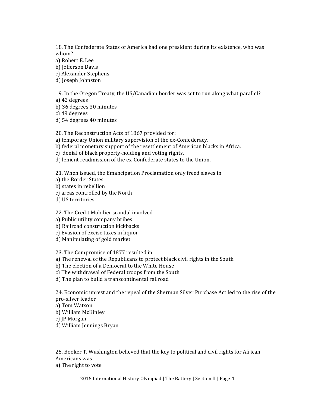18. The Confederate States of America had one president during its existence, who was whom?

a) Robert E. Lee b) Jefferson Davis

c) Alexander Stephens

d) Joseph Johnston

19. In the Oregon Treaty, the US/Canadian border was set to run along what parallel? a) 42 degrees

b) 36 degrees 30 minutes

c) 49 degrees

d) 54 degrees 40 minutes

20. The Reconstruction Acts of 1867 provided for:

a) temporary Union military supervision of the ex-Confederacy.

b) federal monetary support of the resettlement of American blacks in Africa.

c) denial of black property-holding and voting rights.

d) lenient readmission of the ex-Confederate states to the Union.

21. When issued, the Emancipation Proclamation only freed slaves in

a) the Border States

b) states in rebellion

c) areas controlled by the North

d) US territories

22. The Credit Mobilier scandal involved

a) Public utility company bribes

b) Railroad construction kickbacks

c) Evasion of excise taxes in liquor

d) Manipulating of gold market

23. The Compromise of 1877 resulted in

a) The renewal of the Republicans to protect black civil rights in the South

b) The election of a Democrat to the White House

c) The withdrawal of Federal troops from the South

d) The plan to build a transcontinental railroad

24. Economic unrest and the repeal of the Sherman Silver Purchase Act led to the rise of the pro-silver leader

a) Tom Watson

b) William McKinley

c) JP Morgan

d) William Jennings Bryan

25. Booker T. Washington believed that the key to political and civil rights for African Americans was a) The right to vote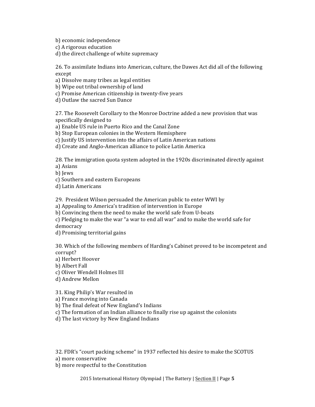b) economic independence

c) A rigorous education

d) the direct challenge of white supremacy

26. To assimilate Indians into American, culture, the Dawes Act did all of the following except

a) Dissolve many tribes as legal entities

b) Wipe out tribal ownership of land

c) Promise American citizenship in twenty-five years

d) Outlaw the sacred Sun Dance

27. The Roosevelt Corollary to the Monroe Doctrine added a new provision that was specifically designed to

a) Enable US rule in Puerto Rico and the Canal Zone

b) Stop European colonies in the Western Hemisphere

c) Justify US intervention into the affairs of Latin American nations

d) Create and Anglo-American alliance to police Latin America

28. The immigration quota system adopted in the 1920s discriminated directly against a) Asians

b) Iews

c) Southern and eastern Europeans

d) Latin Americans

29. President Wilson persuaded the American public to enter WWI by

a) Appealing to America's tradition of intervention in Europe

b) Convincing them the need to make the world safe from U-boats

c) Pledging to make the war "a war to end all war" and to make the world safe for democracy

d) Promising territorial gains

30. Which of the following members of Harding's Cabinet proved to be incompetent and corrupt?

a) Herbert Hoover

b) Albert Fall

c) Oliver Wendell Holmes III

d) Andrew Mellon

31. King Philip's War resulted in

a) France moving into Canada

b) The final defeat of New England's Indians

c) The formation of an Indian alliance to finally rise up against the colonists

d) The last victory by New England Indians

32. FDR's "court packing scheme" in 1937 reflected his desire to make the SCOTUS

a) more conservative

b) more respectful to the Constitution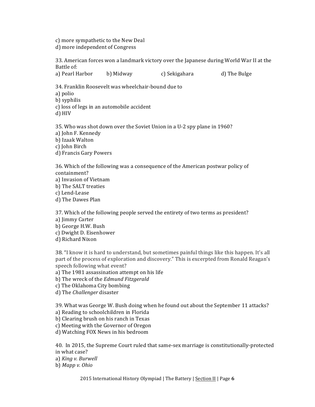c) more sympathetic to the New Deal d) more independent of Congress

33. American forces won a landmark victory over the Japanese during World War II at the Battle of:

a) Pearl Harbor b) Midway c) Sekigahara d) The Bulge

34. Franklin Roosevelt was wheelchair-bound due to a) polio b) syphilis c) loss of legs in an automobile accident

d) HIV

35. Who was shot down over the Soviet Union in a U-2 spy plane in 1960? a) John F. Kennedy b) Izaak Walton c) John Birch d) Francis Gary Powers

36. Which of the following was a consequence of the American postwar policy of containment? a) Invasion of Vietnam b) The SALT treaties c) Lend-Lease d) The Dawes Plan

37. Which of the following people served the entirety of two terms as president? a) Jimmy Carter b) George H.W. Bush c) Dwight D. Eisenhower d) Richard Nixon

38. "I know it is hard to understand, but sometimes painful things like this happen. It's all part of the process of exploration and discovery." This is excerpted from Ronald Reagan's speech following what event?

a) The 1981 assassination attempt on his life

b) The wreck of the *Edmund Fitzgerald* 

c) The Oklahoma City bombing

d) The *Challenger* disaster

39. What was George W. Bush doing when he found out about the September 11 attacks?

a) Reading to schoolchildren in Florida

b) Clearing brush on his ranch in Texas

c) Meeting with the Governor of Oregon

d) Watching FOX News in his bedroom

40. In 2015, the Supreme Court ruled that same-sex marriage is constitutionally-protected in what case?

a) *King v. Burwell* 

b) Mapp v. Ohio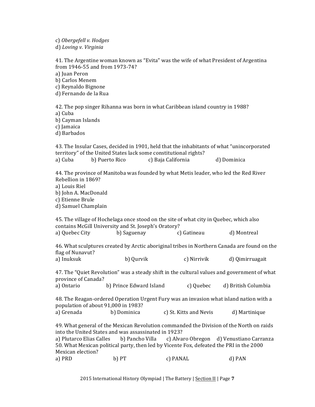c) *Obergefell v. Hodges*

d) *Loving v. Virginia*

41. The Argentine woman known as "Evita" was the wife of what President of Argentina from 1946-55 and from 1973-74? a) Juan Peron b) Carlos Menem c) Reynaldo Bignone d) Fernando de la Rua 42. The pop singer Rihanna was born in what Caribbean island country in 1988? a) Cuba b) Cayman Islands c) Iamaica

d) Barbados 

43. The Insular Cases, decided in 1901, held that the inhabitants of what "unincorporated" territory" of the United States lack some constitutional rights? a) Cuba b) Puerto Rico c) Baja California d) Dominica

44. The province of Manitoba was founded by what Metis leader, who led the Red River Rebellion in 1869?

- a) Louis Riel
- b) John A. MacDonald

c) Etienne Brule

d) Samuel Champlain

45. The village of Hochelaga once stood on the site of what city in Quebec, which also contains McGill University and St. Joseph's Oratory? a) Quebec City b) Saguenay c) Gatineau d) Montreal 

46. What sculptures created by Arctic aboriginal tribes in Northern Canada are found on the flag of Nunavut?

a) Inuksuk b) Qurvik c) Nirrivik d) Qimirruagait

47. The "Quiet Revolution" was a steady shift in the cultural values and government of what province of Canada?

a) Ontario b) Prince Edward Island c) Quebec d) British Columbia

48. The Reagan-ordered Operation Urgent Fury was an invasion what island nation with a population of about 91,000 in 1983?

a) Grenada b) Dominica c) St. Kitts and Nevis d) Martinique

49. What general of the Mexican Revolution commanded the Division of the North on raids into the United States and was assassinated in 1923?

a) Plutarco Elias Calles b) Pancho Villa c) Alvaro Obregon d) Venustiano Carranza 50. What Mexican political party, then led by Vicente Fox, defeated the PRI in the 2000 Mexican election?

a) PRD b) PT c) PANAL d) PAN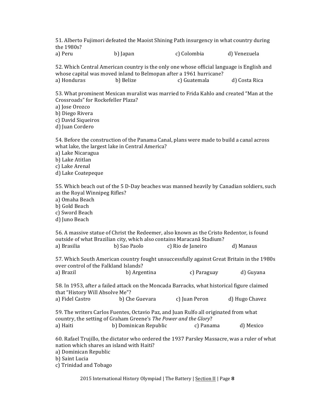51. Alberto Fujimori defeated the Maoist Shining Path insurgency in what country during the 1980s?

| a) Peru | b) Japan | c) Colombia | d) Venezuela |
|---------|----------|-------------|--------------|
|         |          |             |              |

52. Which Central American country is the only one whose official language is English and whose capital was moved inland to Belmopan after a 1961 hurricane? a) Honduras b) Belize c) Guatemala d) Costa Rica

53. What prominent Mexican muralist was married to Frida Kahlo and created "Man at the Crossroads" for Rockefeller Plaza?

a) Jose Orozco

b) Diego Rivera

c) David Siqueiros

d) Juan Cordero

54. Before the construction of the Panama Canal, plans were made to build a canal across what lake, the largest lake in Central America?

- a) Lake Nicaragua
- b) Lake Atitlan

c) Lake Arenal

d) Lake Coatepeque

55. Which beach out of the 5 D-Day beaches was manned heavily by Canadian soldiers, such as the Royal Winnipeg Rifles?

a) Omaha Beach

b) Gold Beach

c) Sword Beach

d) Juno Beach

56. A massive statue of Christ the Redeemer, also known as the Cristo Redentor, is found outside of what Brazilian city, which also contains Maracanã Stadium? a) Brasilia b) Sao Paolo c) Rio de Janeiro d) Manaus

57. Which South American country fought unsuccessfully against Great Britain in the 1980s over control of the Falkland Islands?

| a) Brazil | b) Argentina | c) Paraguay | d) Guyana |
|-----------|--------------|-------------|-----------|
|-----------|--------------|-------------|-----------|

58. In 1953, after a failed attack on the Moncada Barracks, what historical figure claimed that "History Will Absolve Me"? a) Fidel Castro b) Che Guevara c) Juan Peron d) Hugo Chavez

59. The writers Carlos Fuentes, Octavio Paz, and Juan Rulfo all originated from what country, the setting of Graham Greene's *The Power and the Glory*? a) Haiti b) Dominican Republic c) Panama d) Mexico

60. Rafael Trujillo, the dictator who ordered the 1937 Parsley Massacre, was a ruler of what nation which shares an island with Haiti?

a) Dominican Republic

b) Saint Lucia

c) Trinidad and Tobago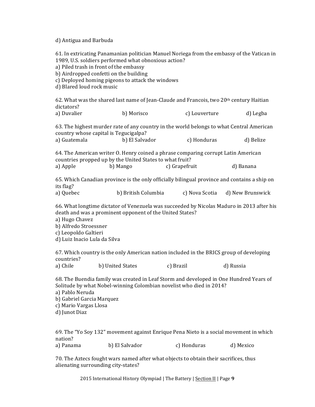## d) Antigua and Barbuda

61. In extricating Panamanian politician Manuel Noriega from the embassy of the Vatican in 1989, U.S. soldiers performed what obnoxious action? a) Piled trash in front of the embassy b) Airdropped confetti on the building c) Deployed homing pigeons to attack the windows d) Blared loud rock music 62. What was the shared last name of Jean-Claude and Francois, two 20th century Haitian dictators? a) Duvalier b) Morisco c) Louverture d) Legba 63. The highest murder rate of any country in the world belongs to what Central American country whose capital is Tegucigalpa? a) Guatemala b) El Salvador c) Honduras d) Belize 64. The American writer O. Henry coined a phrase comparing corrupt Latin American countries propped up by the United States to what fruit? a) Apple b) Mango c) Grapefruit d) Banana 65. Which Canadian province is the only officially bilingual province and contains a ship on its flag? a) Quebec b) British Columbia c) Nova Scotia d) New Brunswick 66. What longtime dictator of Venezuela was succeeded by Nicolas Maduro in 2013 after his death and was a prominent opponent of the United States? a) Hugo Chavez b) Alfredo Stroessner c) Leopoldo Galtieri d) Luiz Inacio Lula da Silva 67. Which country is the only American nation included in the BRICS group of developing countries? a) Chile b) United States c) Brazil d) Russia 68. The Buendia family was created in Leaf Storm and developed in One Hundred Years of Solitude by what Nobel-winning Colombian novelist who died in 2014? a) Pablo Neruda b) Gabriel Garcia Marquez c) Mario Vargas Llosa d) Junot Diaz 69. The "Yo Soy 132" movement against Enrique Pena Nieto is a social movement in which nation? a) Panama b) El Salvador c) Honduras d) Mexico

70. The Aztecs fought wars named after what objects to obtain their sacrifices, thus alienating surrounding city-states?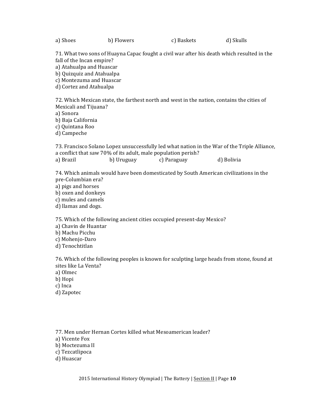a) Shoes b) Flowers c) Baskets d) Skulls

71. What two sons of Huayna Capac fought a civil war after his death which resulted in the fall of the Incan empire?

a) Atahualpa and Huascar

b) Quizquiz and Atahualpa

c) Montezuma and Huascar

d) Cortez and Atahualpa

72. Which Mexican state, the farthest north and west in the nation, contains the cities of Mexicali and Tijuana?

a) Sonora

b) Baja California

c) Ouintana Roo

d) Campeche

73. Francisco Solano Lopez unsuccessfully led what nation in the War of the Triple Alliance, a conflict that saw 70% of its adult, male population perish? a) Brazil b) Uruguay c) Paraguay d) Bolivia

74. Which animals would have been domesticated by South American civilizations in the pre-Columbian era?

- a) pigs and horses
- b) oxen and donkeys

c) mules and camels

d) llamas and dogs.

75. Which of the following ancient cities occupied present-day Mexico?

- a) Chavin de Huantar
- b) Machu Picchu

c) Mohenjo-Daro

d) Tenochtitlan

76. Which of the following peoples is known for sculpting large heads from stone, found at sites like La Venta?

a) Olmec

b) Hopi

- c) Inca
- d) Zapotec

77. Men under Hernan Cortes killed what Mesoamerican leader?

a) Vicente Fox

- b) Moctezuma II
- c) Tezcatlipoca

d) Huascar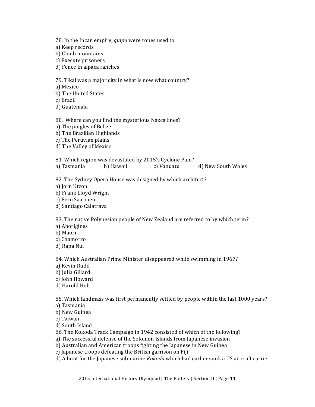78. In the Incan empire, *quipu* were ropes used to a) Keep records b) Climb mountains c) Execute prisoners d) Fence in alpaca ranches 79. Tikal was a major city in what is now what country? a) Mexico b) The United States c) Brazil d) Guatemala

80. Where can you find the mysterious Nazca lines? a) The jungles of Belize b) The Brazilian Highlands c) The Peruvian plains d) The Valley of Mexico

81. Which region was devastated by 2015's Cyclone Pam? a) Tasmania b) Hawaii c) Vanuatu d) New South Wales

82. The Sydney Opera House was designed by which architect?

a) Jorn Utzon

b) Frank Lloyd Wright

c) Eero Saarinen

d) Santiago Calatrava

83. The native Polynesian people of New Zealand are referred to by which term?

a) Aborigines

b) Maori

c) Chamorro

d) Rapa Nui

84. Which Australian Prime Minister disappeared while swimming in 1967?

a) Kevin Rudd

b) Julia Gillard

c) John Howard

d) Harold Holt

85. Which landmass was first permanently settled by people within the last 1000 years? a) Tasmania

b) New Guinea

c) Taiwan

d) South Island

86. The Kokoda Track Campaign in 1942 consisted of which of the following?

a) The successful defense of the Solomon Islands from Japanese invasion

b) Australian and American troops fighting the Japanese in New Guinea

c) Japanese troops defeating the British garrison on Fiji

d) A hunt for the Japanese submarine *Kokoda* which had earlier sunk a US aircraft carrier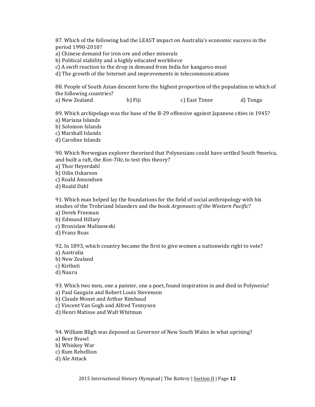87. Which of the following had the LEAST impact on Australia's economic success in the period 1990-2010?

a) Chinese demand for iron ore and other minerals

b) Political stability and a highly educated workforce

c) A swift reaction to the drop in demand from India for kangaroo meat

d) The growth of the Internet and improvements in telecommunications

88. People of South Asian descent form the highest proportion of the population in which of the following countries?

a) New Zealand b) Fiji c) East Timor d) Tonga

89. Which archipelago was the base of the B-29 offensive against Japanese cities in 1945? a) Mariana Islands

b) Solomon Islands

c) Marshall Islands

d) Caroline Islands

90. Which Norwegian explorer theorized that Polynesians could have settled South 9merica, and built a raft, the *Kon-Tiki*, to test this theory?

a) Thor Heyerdahl

b) Odin Oskarson

c) Roald Amundsen

d) Roald Dahl

91. Which man helped lay the foundations for the field of social anthropology with his studies of the Trobriand Islanders and the book Argonauts of the Western Pacific?

a) Derek Freeman

- b) Edmund Hillary
- c) Bronislaw Malinowski
- d) Franz Boas

92. In 1893, which country became the first to give women a nationwide right to vote? a) Australia

b) New Zealand

c) Kiribati

d) Nauru

93. Which two men, one a painter, one a poet, found inspiration in and died in Polynesia?

a) Paul Gauguin and Robert Louis Stevenson

b) Claude Monet and Arthur Rimbaud

c) Vincent Van Gogh and Alfred Tennyson

d) Henri Matisse and Walt Whitman

94. William Bligh was deposed as Governor of New South Wales in what uprising?

a) Beer Brawl

b) Whiskey War

c) Rum Rebellion

d) Ale Attack